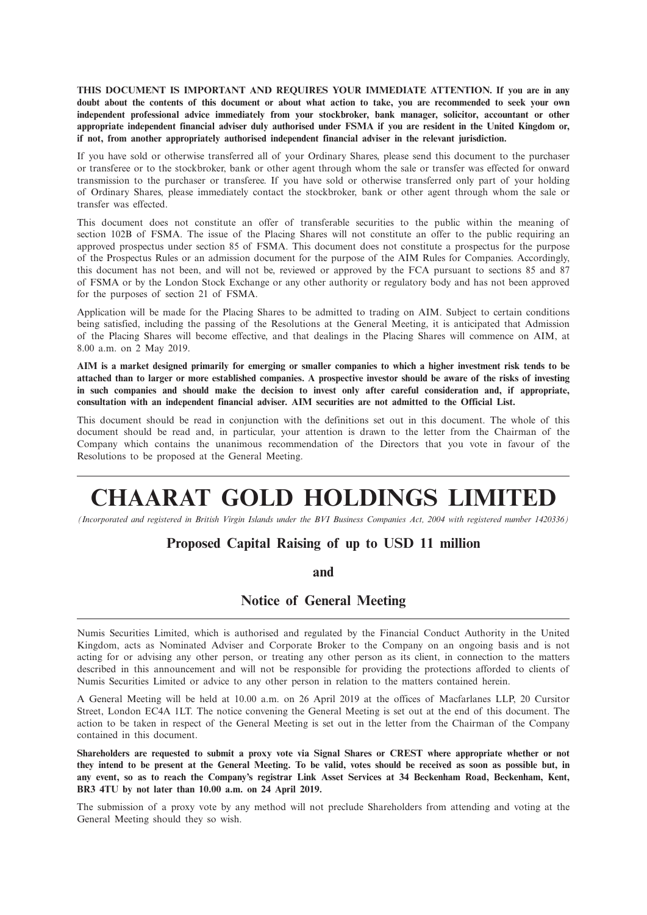**THIS DOCUMENT IS IMPORTANT AND REQUIRES YOUR IMMEDIATE ATTENTION. If you are in any** doubt about the contents of this document or about what action to take, you are recommended to seek your own **independent professional advice immediately from your stockbroker, bank manager, solicitor, accountant or other** appropriate independent financial adviser duly authorised under FSMA if you are resident in the United Kingdom or, **if not, from another appropriately authorised independent financial adviser in the relevant jurisdiction.**

If you have sold or otherwise transferred all of your Ordinary Shares, please send this document to the purchaser or transferee or to the stockbroker, bank or other agent through whom the sale or transfer was effected for onward transmission to the purchaser or transferee. If you have sold or otherwise transferred only part of your holding of Ordinary Shares, please immediately contact the stockbroker, bank or other agent through whom the sale or transfer was effected.

This document does not constitute an offer of transferable securities to the public within the meaning of section 102B of FSMA. The issue of the Placing Shares will not constitute an offer to the public requiring an approved prospectus under section 85 of FSMA. This document does not constitute a prospectus for the purpose of the Prospectus Rules or an admission document for the purpose of the AIM Rules for Companies. Accordingly, this document has not been, and will not be, reviewed or approved by the FCA pursuant to sections 85 and 87 of FSMA or by the London Stock Exchange or any other authority or regulatory body and has not been approved for the purposes of section 21 of FSMA.

Application will be made for the Placing Shares to be admitted to trading on AIM. Subject to certain conditions being satisfied, including the passing of the Resolutions at the General Meeting, it is anticipated that Admission of the Placing Shares will become effective, and that dealings in the Placing Shares will commence on AIM, at 8.00 a.m. on 2 May 2019.

AIM is a market designed primarily for emerging or smaller companies to which a higher investment risk tends to be attached than to larger or more established companies. A prospective investor should be aware of the risks of investing in such companies and should make the decision to invest only after careful consideration and, if appropriate, **consultation with an independent financial adviser. AIM securities are not admitted to the Official List.**

This document should be read in conjunction with the definitions set out in this document. The whole of this document should be read and, in particular, your attention is drawn to the letter from the Chairman of the Company which contains the unanimous recommendation of the Directors that you vote in favour of the Resolutions to be proposed at the General Meeting.

# **CHAARAT GOLD HOLDINGS LIMITED**

(Incorporated and registered in British Virgin Islands under the BVI Business Companies Act, 2004 with registered number 1420336)

# **Proposed Capital Raising of up to USD 11 million**

**and**

#### **Notice of General Meeting**

Numis Securities Limited, which is authorised and regulated by the Financial Conduct Authority in the United Kingdom, acts as Nominated Adviser and Corporate Broker to the Company on an ongoing basis and is not acting for or advising any other person, or treating any other person as its client, in connection to the matters described in this announcement and will not be responsible for providing the protections afforded to clients of Numis Securities Limited or advice to any other person in relation to the matters contained herein.

A General Meeting will be held at 10.00 a.m. on 26 April 2019 at the offices of Macfarlanes LLP, 20 Cursitor Street, London EC4A 1LT. The notice convening the General Meeting is set out at the end of this document. The action to be taken in respect of the General Meeting is set out in the letter from the Chairman of the Company contained in this document.

Shareholders are requested to submit a proxy vote via Signal Shares or CREST where appropriate whether or not they intend to be present at the General Meeting. To be valid, votes should be received as soon as possible but, in any event, so as to reach the Company's registrar Link Asset Services at 34 Beckenham Road, Beckenham, Kent, **BR3 4TU by not later than 10.00 a.m. on 24 April 2019.**

The submission of a proxy vote by any method will not preclude Shareholders from attending and voting at the General Meeting should they so wish.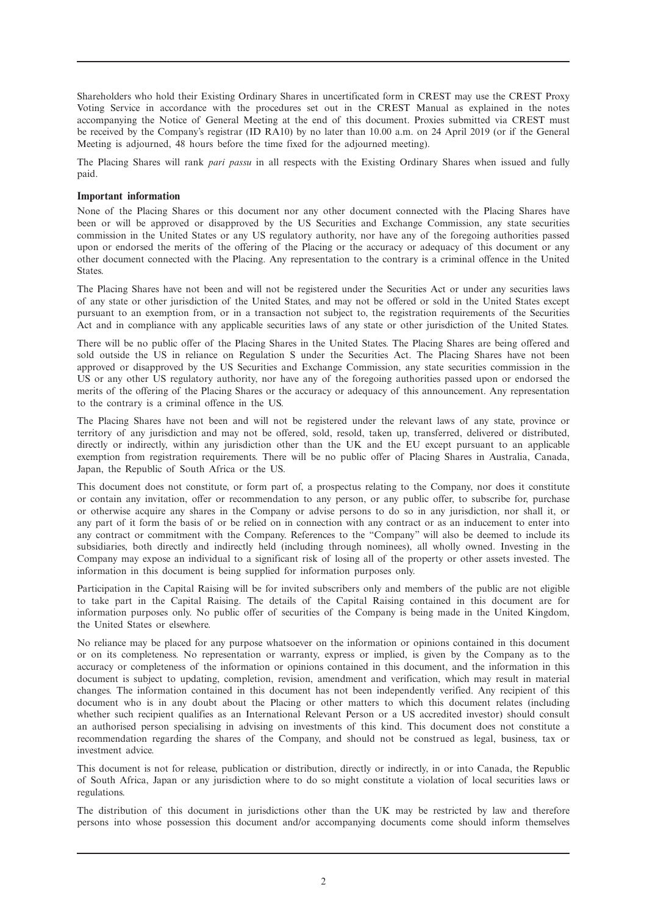Shareholders who hold their Existing Ordinary Shares in uncertificated form in CREST may use the CREST Proxy Voting Service in accordance with the procedures set out in the CREST Manual as explained in the notes accompanying the Notice of General Meeting at the end of this document. Proxies submitted via CREST must be received by the Company's registrar (ID RA10) by no later than 10.00 a.m. on 24 April 2019 (or if the General Meeting is adjourned, 48 hours before the time fixed for the adjourned meeting).

The Placing Shares will rank *pari passu* in all respects with the Existing Ordinary Shares when issued and fully paid.

#### **Important information**

None of the Placing Shares or this document nor any other document connected with the Placing Shares have been or will be approved or disapproved by the US Securities and Exchange Commission, any state securities commission in the United States or any US regulatory authority, nor have any of the foregoing authorities passed upon or endorsed the merits of the offering of the Placing or the accuracy or adequacy of this document or any other document connected with the Placing. Any representation to the contrary is a criminal offence in the United States.

The Placing Shares have not been and will not be registered under the Securities Act or under any securities laws of any state or other jurisdiction of the United States, and may not be offered or sold in the United States except pursuant to an exemption from, or in a transaction not subject to, the registration requirements of the Securities Act and in compliance with any applicable securities laws of any state or other jurisdiction of the United States.

There will be no public offer of the Placing Shares in the United States. The Placing Shares are being offered and sold outside the US in reliance on Regulation S under the Securities Act. The Placing Shares have not been approved or disapproved by the US Securities and Exchange Commission, any state securities commission in the US or any other US regulatory authority, nor have any of the foregoing authorities passed upon or endorsed the merits of the offering of the Placing Shares or the accuracy or adequacy of this announcement. Any representation to the contrary is a criminal offence in the US.

The Placing Shares have not been and will not be registered under the relevant laws of any state, province or territory of any jurisdiction and may not be offered, sold, resold, taken up, transferred, delivered or distributed, directly or indirectly, within any jurisdiction other than the UK and the EU except pursuant to an applicable exemption from registration requirements. There will be no public offer of Placing Shares in Australia, Canada, Japan, the Republic of South Africa or the US.

This document does not constitute, or form part of, a prospectus relating to the Company, nor does it constitute or contain any invitation, offer or recommendation to any person, or any public offer, to subscribe for, purchase or otherwise acquire any shares in the Company or advise persons to do so in any jurisdiction, nor shall it, or any part of it form the basis of or be relied on in connection with any contract or as an inducement to enter into any contract or commitment with the Company. References to the "Company" will also be deemed to include its subsidiaries, both directly and indirectly held (including through nominees), all wholly owned. Investing in the Company may expose an individual to a significant risk of losing all of the property or other assets invested. The information in this document is being supplied for information purposes only.

Participation in the Capital Raising will be for invited subscribers only and members of the public are not eligible to take part in the Capital Raising. The details of the Capital Raising contained in this document are for information purposes only. No public offer of securities of the Company is being made in the United Kingdom, the United States or elsewhere.

No reliance may be placed for any purpose whatsoever on the information or opinions contained in this document or on its completeness. No representation or warranty, express or implied, is given by the Company as to the accuracy or completeness of the information or opinions contained in this document, and the information in this document is subject to updating, completion, revision, amendment and verification, which may result in material changes. The information contained in this document has not been independently verified. Any recipient of this document who is in any doubt about the Placing or other matters to which this document relates (including whether such recipient qualifies as an International Relevant Person or a US accredited investor) should consult an authorised person specialising in advising on investments of this kind. This document does not constitute a recommendation regarding the shares of the Company, and should not be construed as legal, business, tax or investment advice.

This document is not for release, publication or distribution, directly or indirectly, in or into Canada, the Republic of South Africa, Japan or any jurisdiction where to do so might constitute a violation of local securities laws or regulations.

The distribution of this document in jurisdictions other than the UK may be restricted by law and therefore persons into whose possession this document and/or accompanying documents come should inform themselves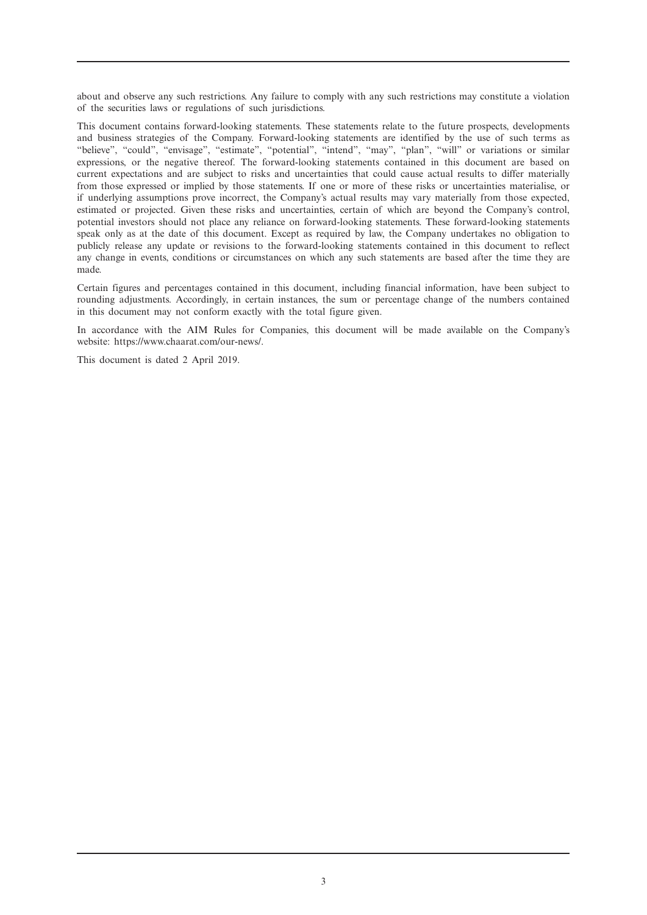about and observe any such restrictions. Any failure to comply with any such restrictions may constitute a violation of the securities laws or regulations of such jurisdictions.

This document contains forward-looking statements. These statements relate to the future prospects, developments and business strategies of the Company. Forward-looking statements are identified by the use of such terms as "believe", "could", "envisage", "estimate", "potential", "intend", "may", "plan", "will" or variations or similar expressions, or the negative thereof. The forward-looking statements contained in this document are based on current expectations and are subject to risks and uncertainties that could cause actual results to differ materially from those expressed or implied by those statements. If one or more of these risks or uncertainties materialise, or if underlying assumptions prove incorrect, the Company's actual results may vary materially from those expected, estimated or projected. Given these risks and uncertainties, certain of which are beyond the Company's control, potential investors should not place any reliance on forward-looking statements. These forward-looking statements speak only as at the date of this document. Except as required by law, the Company undertakes no obligation to publicly release any update or revisions to the forward-looking statements contained in this document to reflect any change in events, conditions or circumstances on which any such statements are based after the time they are made.

Certain figures and percentages contained in this document, including financial information, have been subject to rounding adjustments. Accordingly, in certain instances, the sum or percentage change of the numbers contained in this document may not conform exactly with the total figure given.

In accordance with the AIM Rules for Companies, this document will be made available on the Company's website: https://www.chaarat.com/our-news/.

This document is dated 2 April 2019.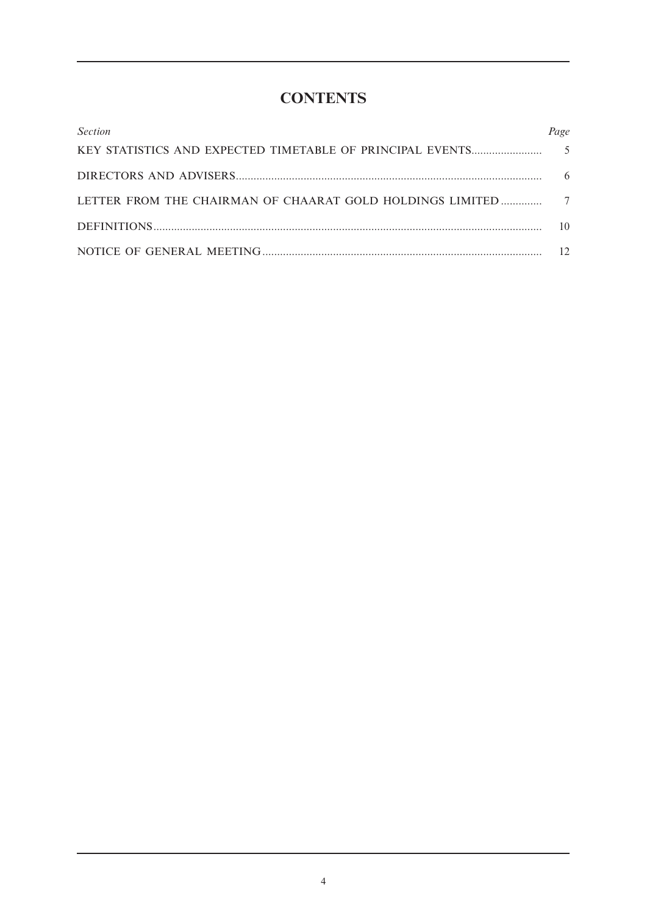# **CONTENTS**

| <b>Section</b> | Page |
|----------------|------|
|                |      |
|                | 6    |
|                |      |
|                | 10   |
|                |      |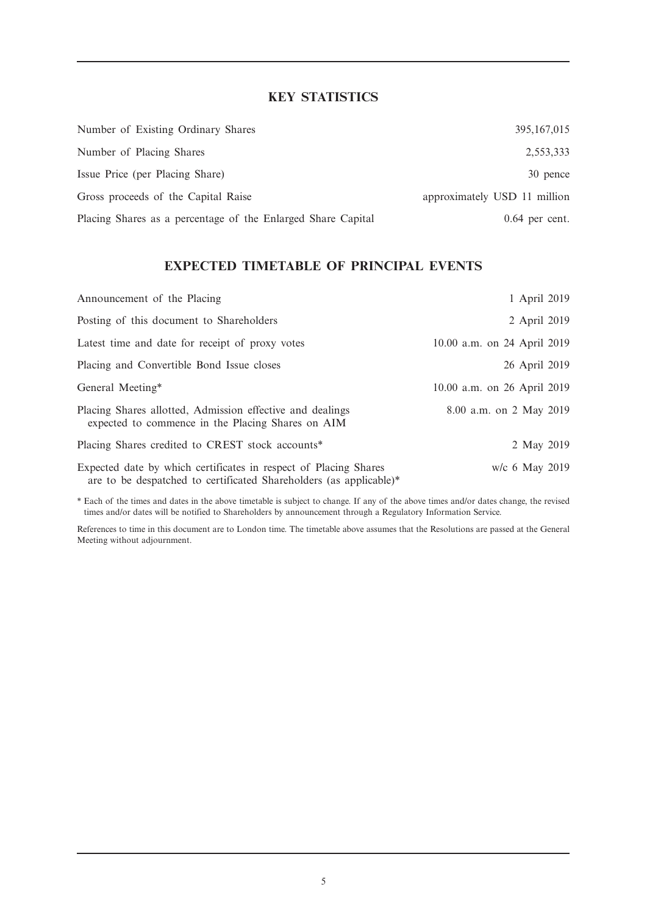# **KEY STATISTICS**

| Number of Existing Ordinary Shares                           | 395, 167, 015                |
|--------------------------------------------------------------|------------------------------|
| Number of Placing Shares                                     | 2,553,333                    |
| Issue Price (per Placing Share)                              | 30 pence                     |
| Gross proceeds of the Capital Raise                          | approximately USD 11 million |
| Placing Shares as a percentage of the Enlarged Share Capital | $0.64$ per cent.             |

### **EXPECTED TIMETABLE OF PRINCIPAL EVENTS**

| Announcement of the Placing                                                                                                            | 1 April 2019                |
|----------------------------------------------------------------------------------------------------------------------------------------|-----------------------------|
| Posting of this document to Shareholders                                                                                               | 2 April 2019                |
| Latest time and date for receipt of proxy votes                                                                                        | 10.00 a.m. on 24 April 2019 |
| Placing and Convertible Bond Issue closes                                                                                              | 26 April 2019               |
| General Meeting*                                                                                                                       | 10.00 a.m. on 26 April 2019 |
| Placing Shares allotted, Admission effective and dealings<br>expected to commence in the Placing Shares on AIM                         | 8.00 a.m. on 2 May 2019     |
| Placing Shares credited to CREST stock accounts*                                                                                       | 2 May 2019                  |
| Expected date by which certificates in respect of Placing Shares<br>are to be despatched to certificated Shareholders (as applicable)* | w/c 6 May 2019              |

\* Each of the times and dates in the above timetable is subject to change. If any of the above times and/or dates change, the revised times and/or dates will be notified to Shareholders by announcement through a Regulatory Information Service.

References to time in this document are to London time. The timetable above assumes that the Resolutions are passed at the General Meeting without adjournment.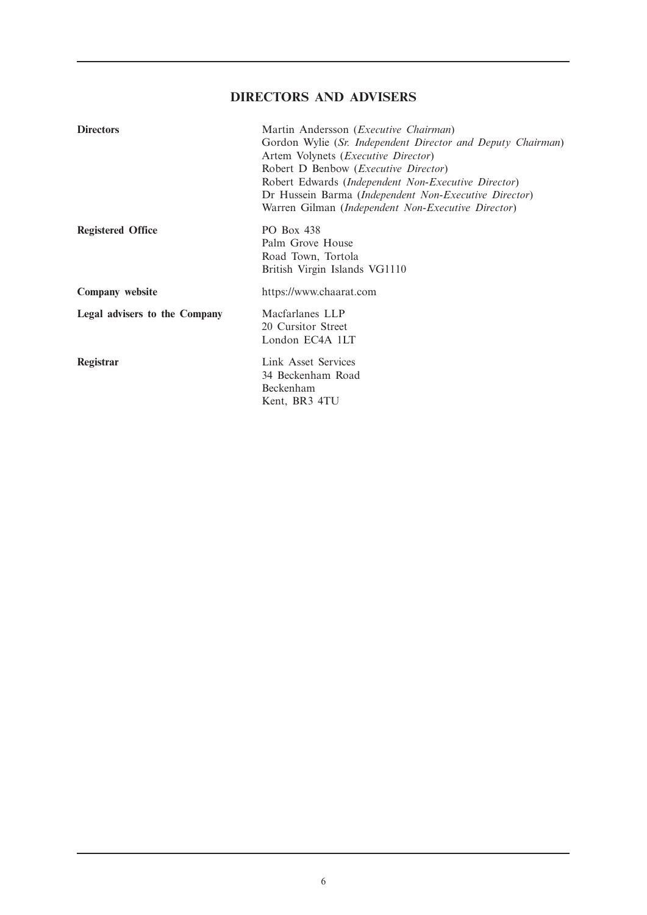# **DIRECTORS AND ADVISERS**

| <b>Directors</b>              | Martin Andersson ( <i>Executive Chairman</i> )<br>Gordon Wylie (Sr. Independent Director and Deputy Chairman)<br>Artem Volynets (Executive Director)<br>Robert D Benbow ( <i>Executive Director</i> )<br>Robert Edwards (Independent Non-Executive Director)<br>Dr Hussein Barma (Independent Non-Executive Director)<br>Warren Gilman (Independent Non-Executive Director) |
|-------------------------------|-----------------------------------------------------------------------------------------------------------------------------------------------------------------------------------------------------------------------------------------------------------------------------------------------------------------------------------------------------------------------------|
| <b>Registered Office</b>      | <b>PO Box 438</b><br>Palm Grove House<br>Road Town, Tortola<br>British Virgin Islands VG1110                                                                                                                                                                                                                                                                                |
| Company website               | https://www.chaarat.com                                                                                                                                                                                                                                                                                                                                                     |
| Legal advisers to the Company | Macfarlanes LLP<br>20 Cursitor Street<br>London EC4A 1LT                                                                                                                                                                                                                                                                                                                    |
| Registrar                     | Link Asset Services<br>34 Beckenham Road<br>Beckenham<br>Kent, BR3 4TU                                                                                                                                                                                                                                                                                                      |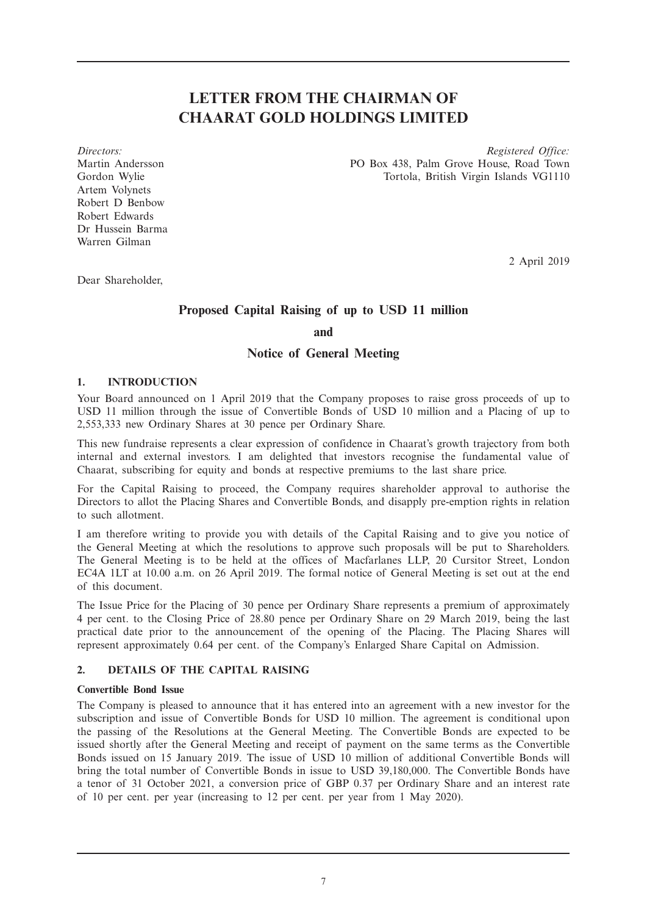# **LETTER FROM THE CHAIRMAN OF CHAARAT GOLD HOLDINGS LIMITED**

Artem Volynets Robert D Benbow Robert Edwards Dr Hussein Barma Warren Gilman

*Directors: Registered Office:* Martin Andersson PO Box 438, Palm Grove House, Road Town Gordon Wylie Tortola, British Virgin Islands VG1110

2 April 2019

Dear Shareholder,

### **Proposed Capital Raising of up to USD 11 million**

**and**

#### **Notice of General Meeting**

#### **1. INTRODUCTION**

Your Board announced on 1 April 2019 that the Company proposes to raise gross proceeds of up to USD 11 million through the issue of Convertible Bonds of USD 10 million and a Placing of up to 2,553,333 new Ordinary Shares at 30 pence per Ordinary Share.

This new fundraise represents a clear expression of confidence in Chaarat's growth trajectory from both internal and external investors. I am delighted that investors recognise the fundamental value of Chaarat, subscribing for equity and bonds at respective premiums to the last share price.

For the Capital Raising to proceed, the Company requires shareholder approval to authorise the Directors to allot the Placing Shares and Convertible Bonds, and disapply pre-emption rights in relation to such allotment.

I am therefore writing to provide you with details of the Capital Raising and to give you notice of the General Meeting at which the resolutions to approve such proposals will be put to Shareholders. The General Meeting is to be held at the offices of Macfarlanes LLP, 20 Cursitor Street, London EC4A 1LT at 10.00 a.m. on 26 April 2019. The formal notice of General Meeting is set out at the end of this document.

The Issue Price for the Placing of 30 pence per Ordinary Share represents a premium of approximately 4 per cent. to the Closing Price of 28.80 pence per Ordinary Share on 29 March 2019, being the last practical date prior to the announcement of the opening of the Placing. The Placing Shares will represent approximately 0.64 per cent. of the Company's Enlarged Share Capital on Admission.

#### **2. DETAILS OF THE CAPITAL RAISING**

#### **Convertible Bond Issue**

The Company is pleased to announce that it has entered into an agreement with a new investor for the subscription and issue of Convertible Bonds for USD 10 million. The agreement is conditional upon the passing of the Resolutions at the General Meeting. The Convertible Bonds are expected to be issued shortly after the General Meeting and receipt of payment on the same terms as the Convertible Bonds issued on 15 January 2019. The issue of USD 10 million of additional Convertible Bonds will bring the total number of Convertible Bonds in issue to USD 39,180,000. The Convertible Bonds have a tenor of 31 October 2021, a conversion price of GBP 0.37 per Ordinary Share and an interest rate of 10 per cent. per year (increasing to 12 per cent. per year from 1 May 2020).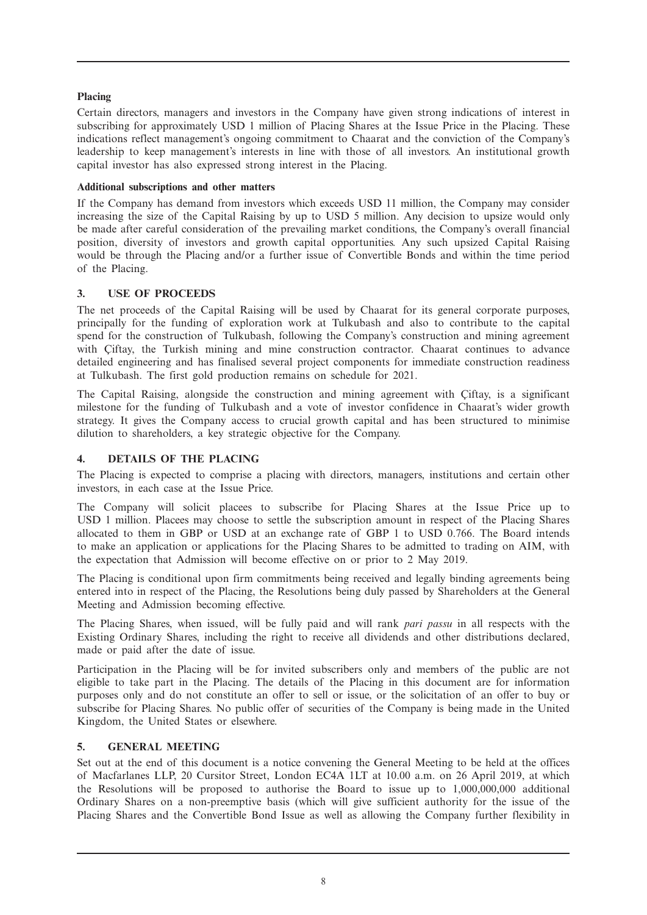#### **Placing**

Certain directors, managers and investors in the Company have given strong indications of interest in subscribing for approximately USD 1 million of Placing Shares at the Issue Price in the Placing. These indications reflect management's ongoing commitment to Chaarat and the conviction of the Company's leadership to keep management's interests in line with those of all investors. An institutional growth capital investor has also expressed strong interest in the Placing.

#### **Additional subscriptions and other matters**

If the Company has demand from investors which exceeds USD 11 million, the Company may consider increasing the size of the Capital Raising by up to USD 5 million. Any decision to upsize would only be made after careful consideration of the prevailing market conditions, the Company's overall financial position, diversity of investors and growth capital opportunities. Any such upsized Capital Raising would be through the Placing and/or a further issue of Convertible Bonds and within the time period of the Placing.

#### **3. USE OF PROCEEDS**

The net proceeds of the Capital Raising will be used by Chaarat for its general corporate purposes, principally for the funding of exploration work at Tulkubash and also to contribute to the capital spend for the construction of Tulkubash, following the Company's construction and mining agreement with Çiftay, the Turkish mining and mine construction contractor. Chaarat continues to advance detailed engineering and has finalised several project components for immediate construction readiness at Tulkubash. The first gold production remains on schedule for 2021.

The Capital Raising, alongside the construction and mining agreement with Çiftay, is a significant milestone for the funding of Tulkubash and a vote of investor confidence in Chaarat's wider growth strategy. It gives the Company access to crucial growth capital and has been structured to minimise dilution to shareholders, a key strategic objective for the Company.

#### **4. DETAILS OF THE PLACING**

The Placing is expected to comprise a placing with directors, managers, institutions and certain other investors, in each case at the Issue Price.

The Company will solicit placees to subscribe for Placing Shares at the Issue Price up to USD 1 million. Placees may choose to settle the subscription amount in respect of the Placing Shares allocated to them in GBP or USD at an exchange rate of GBP 1 to USD 0.766. The Board intends to make an application or applications for the Placing Shares to be admitted to trading on AIM, with the expectation that Admission will become effective on or prior to 2 May 2019.

The Placing is conditional upon firm commitments being received and legally binding agreements being entered into in respect of the Placing, the Resolutions being duly passed by Shareholders at the General Meeting and Admission becoming effective.

The Placing Shares, when issued, will be fully paid and will rank *pari passu* in all respects with the Existing Ordinary Shares, including the right to receive all dividends and other distributions declared, made or paid after the date of issue.

Participation in the Placing will be for invited subscribers only and members of the public are not eligible to take part in the Placing. The details of the Placing in this document are for information purposes only and do not constitute an offer to sell or issue, or the solicitation of an offer to buy or subscribe for Placing Shares. No public offer of securities of the Company is being made in the United Kingdom, the United States or elsewhere.

#### **5. GENERAL MEETING**

Set out at the end of this document is a notice convening the General Meeting to be held at the offices of Macfarlanes LLP, 20 Cursitor Street, London EC4A 1LT at 10.00 a.m. on 26 April 2019, at which the Resolutions will be proposed to authorise the Board to issue up to 1,000,000,000 additional Ordinary Shares on a non-preemptive basis (which will give sufficient authority for the issue of the Placing Shares and the Convertible Bond Issue as well as allowing the Company further flexibility in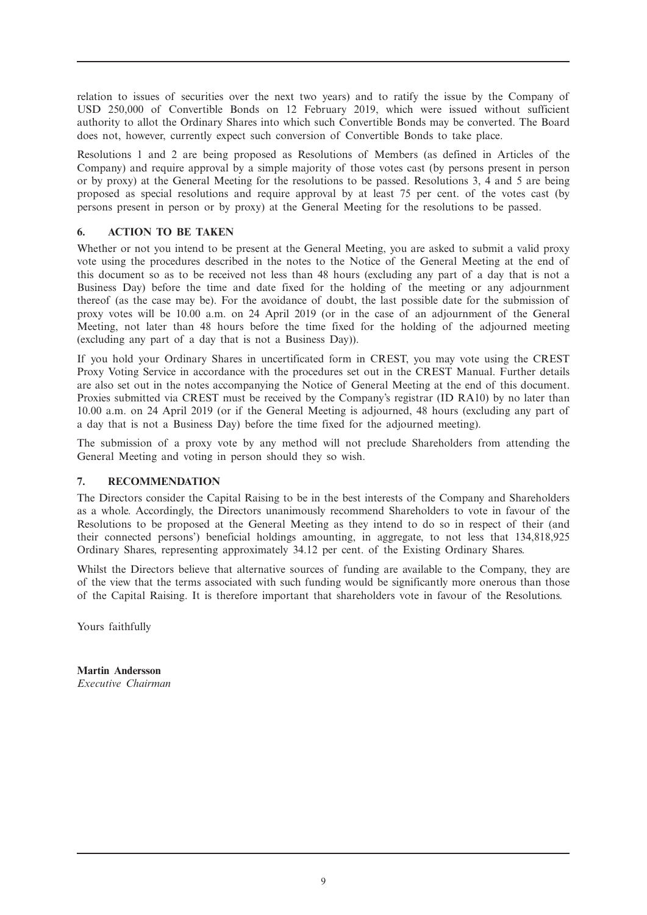relation to issues of securities over the next two years) and to ratify the issue by the Company of USD 250,000 of Convertible Bonds on 12 February 2019, which were issued without sufficient authority to allot the Ordinary Shares into which such Convertible Bonds may be converted. The Board does not, however, currently expect such conversion of Convertible Bonds to take place.

Resolutions 1 and 2 are being proposed as Resolutions of Members (as defined in Articles of the Company) and require approval by a simple majority of those votes cast (by persons present in person or by proxy) at the General Meeting for the resolutions to be passed. Resolutions 3, 4 and 5 are being proposed as special resolutions and require approval by at least 75 per cent. of the votes cast (by persons present in person or by proxy) at the General Meeting for the resolutions to be passed.

#### **6. ACTION TO BE TAKEN**

Whether or not you intend to be present at the General Meeting, you are asked to submit a valid proxy vote using the procedures described in the notes to the Notice of the General Meeting at the end of this document so as to be received not less than 48 hours (excluding any part of a day that is not a Business Day) before the time and date fixed for the holding of the meeting or any adjournment thereof (as the case may be). For the avoidance of doubt, the last possible date for the submission of proxy votes will be 10.00 a.m. on 24 April 2019 (or in the case of an adjournment of the General Meeting, not later than 48 hours before the time fixed for the holding of the adjourned meeting (excluding any part of a day that is not a Business Day)).

If you hold your Ordinary Shares in uncertificated form in CREST, you may vote using the CREST Proxy Voting Service in accordance with the procedures set out in the CREST Manual. Further details are also set out in the notes accompanying the Notice of General Meeting at the end of this document. Proxies submitted via CREST must be received by the Company's registrar (ID RA10) by no later than 10.00 a.m. on 24 April 2019 (or if the General Meeting is adjourned, 48 hours (excluding any part of a day that is not a Business Day) before the time fixed for the adjourned meeting).

The submission of a proxy vote by any method will not preclude Shareholders from attending the General Meeting and voting in person should they so wish.

#### **7. RECOMMENDATION**

The Directors consider the Capital Raising to be in the best interests of the Company and Shareholders as a whole. Accordingly, the Directors unanimously recommend Shareholders to vote in favour of the Resolutions to be proposed at the General Meeting as they intend to do so in respect of their (and their connected persons') beneficial holdings amounting, in aggregate, to not less that 134,818,925 Ordinary Shares, representing approximately 34.12 per cent. of the Existing Ordinary Shares.

Whilst the Directors believe that alternative sources of funding are available to the Company, they are of the view that the terms associated with such funding would be significantly more onerous than those of the Capital Raising. It is therefore important that shareholders vote in favour of the Resolutions.

Yours faithfully

**Martin Andersson** *Executive Chairman*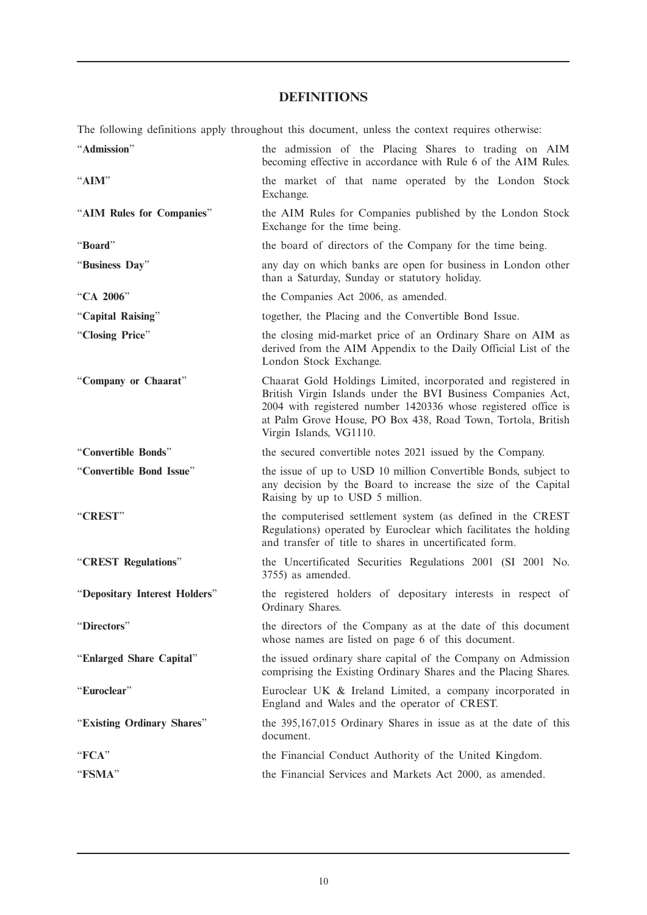# **DEFINITIONS**

The following definitions apply throughout this document, unless the context requires otherwise: "**Admission**" the admission of the Placing Shares to trading on AIM

|                               | becoming effective in accordance with Rule 6 of the AIM Rules.                                                                                                                                                                                                                             |
|-------------------------------|--------------------------------------------------------------------------------------------------------------------------------------------------------------------------------------------------------------------------------------------------------------------------------------------|
| "AIM"                         | the market of that name operated by the London Stock<br>Exchange.                                                                                                                                                                                                                          |
| "AIM Rules for Companies"     | the AIM Rules for Companies published by the London Stock<br>Exchange for the time being.                                                                                                                                                                                                  |
| "Board"                       | the board of directors of the Company for the time being.                                                                                                                                                                                                                                  |
| "Business Day"                | any day on which banks are open for business in London other<br>than a Saturday, Sunday or statutory holiday.                                                                                                                                                                              |
| "CA 2006"                     | the Companies Act 2006, as amended.                                                                                                                                                                                                                                                        |
| "Capital Raising"             | together, the Placing and the Convertible Bond Issue.                                                                                                                                                                                                                                      |
| "Closing Price"               | the closing mid-market price of an Ordinary Share on AIM as<br>derived from the AIM Appendix to the Daily Official List of the<br>London Stock Exchange.                                                                                                                                   |
| "Company or Chaarat"          | Chaarat Gold Holdings Limited, incorporated and registered in<br>British Virgin Islands under the BVI Business Companies Act,<br>2004 with registered number 1420336 whose registered office is<br>at Palm Grove House, PO Box 438, Road Town, Tortola, British<br>Virgin Islands, VG1110. |
| "Convertible Bonds"           | the secured convertible notes 2021 issued by the Company.                                                                                                                                                                                                                                  |
| "Convertible Bond Issue"      | the issue of up to USD 10 million Convertible Bonds, subject to<br>any decision by the Board to increase the size of the Capital<br>Raising by up to USD 5 million.                                                                                                                        |
| "CREST"                       | the computerised settlement system (as defined in the CREST<br>Regulations) operated by Euroclear which facilitates the holding<br>and transfer of title to shares in uncertificated form.                                                                                                 |
| "CREST Regulations"           | the Uncertificated Securities Regulations 2001 (SI 2001 No.<br>3755) as amended.                                                                                                                                                                                                           |
| "Depositary Interest Holders" | the registered holders of depositary interests in respect of<br>Ordinary Shares.                                                                                                                                                                                                           |
| "Directors"                   | the directors of the Company as at the date of this document<br>whose names are listed on page 6 of this document.                                                                                                                                                                         |
| "Enlarged Share Capital"      | the issued ordinary share capital of the Company on Admission<br>comprising the Existing Ordinary Shares and the Placing Shares.                                                                                                                                                           |
| "Euroclear"                   | Euroclear UK & Ireland Limited, a company incorporated in<br>England and Wales and the operator of CREST.                                                                                                                                                                                  |
| "Existing Ordinary Shares"    | the 395,167,015 Ordinary Shares in issue as at the date of this<br>document.                                                                                                                                                                                                               |
| "FCA"                         | the Financial Conduct Authority of the United Kingdom.                                                                                                                                                                                                                                     |
| "FSMA"                        | the Financial Services and Markets Act 2000, as amended.                                                                                                                                                                                                                                   |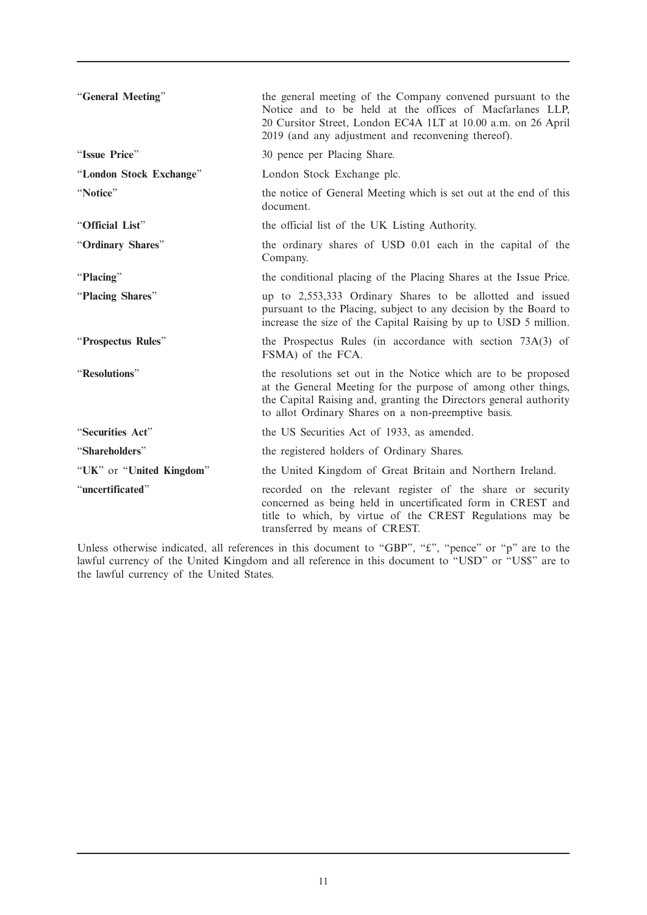| "General Meeting"        | the general meeting of the Company convened pursuant to the<br>Notice and to be held at the offices of Macfarlanes LLP,<br>20 Cursitor Street, London EC4A 1LT at 10.00 a.m. on 26 April<br>2019 (and any adjustment and reconvening thereof).              |
|--------------------------|-------------------------------------------------------------------------------------------------------------------------------------------------------------------------------------------------------------------------------------------------------------|
| "Issue Price"            | 30 pence per Placing Share.                                                                                                                                                                                                                                 |
| "London Stock Exchange"  | London Stock Exchange plc.                                                                                                                                                                                                                                  |
| "Notice"                 | the notice of General Meeting which is set out at the end of this<br>document.                                                                                                                                                                              |
| "Official List"          | the official list of the UK Listing Authority.                                                                                                                                                                                                              |
| "Ordinary Shares"        | the ordinary shares of USD 0.01 each in the capital of the<br>Company.                                                                                                                                                                                      |
| "Placing"                | the conditional placing of the Placing Shares at the Issue Price.                                                                                                                                                                                           |
| "Placing Shares"         | up to 2,553,333 Ordinary Shares to be allotted and issued<br>pursuant to the Placing, subject to any decision by the Board to<br>increase the size of the Capital Raising by up to USD 5 million.                                                           |
| "Prospectus Rules"       | the Prospectus Rules (in accordance with section 73A(3) of<br>FSMA) of the FCA.                                                                                                                                                                             |
| "Resolutions"            | the resolutions set out in the Notice which are to be proposed<br>at the General Meeting for the purpose of among other things,<br>the Capital Raising and, granting the Directors general authority<br>to allot Ordinary Shares on a non-preemptive basis. |
| "Securities Act"         | the US Securities Act of 1933, as amended.                                                                                                                                                                                                                  |
| "Shareholders"           | the registered holders of Ordinary Shares.                                                                                                                                                                                                                  |
| "UK" or "United Kingdom" | the United Kingdom of Great Britain and Northern Ireland.                                                                                                                                                                                                   |
| "uncertificated"         | recorded on the relevant register of the share or security<br>concerned as being held in uncertificated form in CREST and<br>title to which, by virtue of the CREST Regulations may be<br>transferred by means of CREST.                                    |

Unless otherwise indicated, all references in this document to "GBP", " $\mathbf{\hat{t}}$ ", "pence" or "p" are to the lawful currency of the United Kingdom and all reference in this document to "USD" or "US\$" are to the lawful currency of the United States.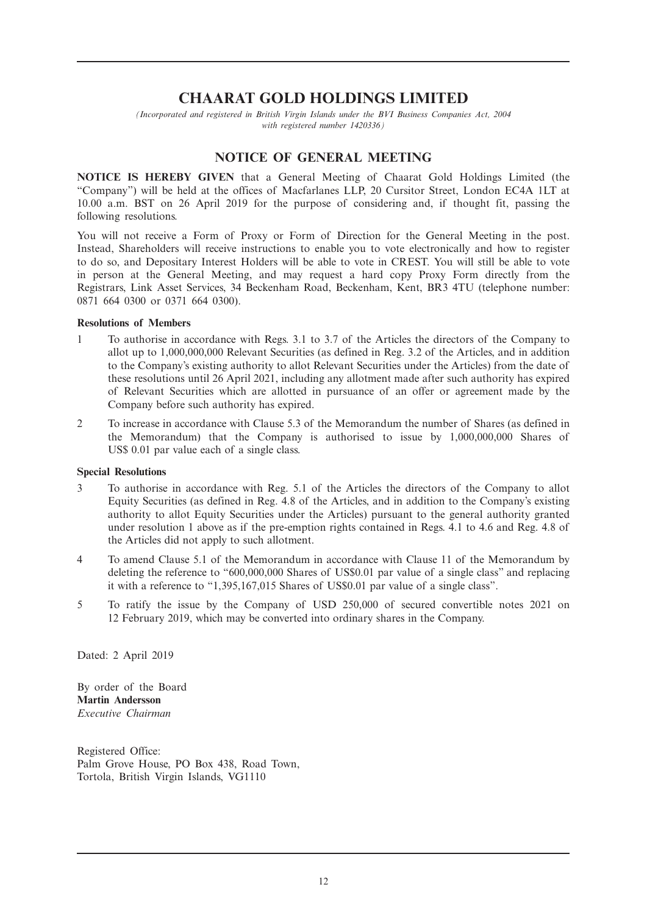# **CHAARAT GOLD HOLDINGS LIMITED**

*(Incorporated and registered in British Virgin Islands under the BVI Business Companies Act, 2004 with registered number 1420336)*

#### **NOTICE OF GENERAL MEETING**

**NOTICE IS HEREBY GIVEN** that a General Meeting of Chaarat Gold Holdings Limited (the "Company") will be held at the offices of Macfarlanes LLP, 20 Cursitor Street, London EC4A 1LT at 10.00 a.m. BST on 26 April 2019 for the purpose of considering and, if thought fit, passing the following resolutions.

You will not receive a Form of Proxy or Form of Direction for the General Meeting in the post. Instead, Shareholders will receive instructions to enable you to vote electronically and how to register to do so, and Depositary Interest Holders will be able to vote in CREST. You will still be able to vote in person at the General Meeting, and may request a hard copy Proxy Form directly from the Registrars, Link Asset Services, 34 Beckenham Road, Beckenham, Kent, BR3 4TU (telephone number: 0871 664 0300 or 0371 664 0300).

#### **Resolutions of Members**

- 1 To authorise in accordance with Regs. 3.1 to 3.7 of the Articles the directors of the Company to allot up to 1,000,000,000 Relevant Securities (as defined in Reg. 3.2 of the Articles, and in addition to the Company's existing authority to allot Relevant Securities under the Articles) from the date of these resolutions until 26 April 2021, including any allotment made after such authority has expired of Relevant Securities which are allotted in pursuance of an offer or agreement made by the Company before such authority has expired.
- 2 To increase in accordance with Clause 5.3 of the Memorandum the number of Shares (as defined in the Memorandum) that the Company is authorised to issue by 1,000,000,000 Shares of US\$ 0.01 par value each of a single class.

#### **Special Resolutions**

- 3 To authorise in accordance with Reg. 5.1 of the Articles the directors of the Company to allot Equity Securities (as defined in Reg. 4.8 of the Articles, and in addition to the Company's existing authority to allot Equity Securities under the Articles) pursuant to the general authority granted under resolution 1 above as if the pre-emption rights contained in Regs. 4.1 to 4.6 and Reg. 4.8 of the Articles did not apply to such allotment.
- 4 To amend Clause 5.1 of the Memorandum in accordance with Clause 11 of the Memorandum by deleting the reference to "600,000,000 Shares of US\$0.01 par value of a single class" and replacing it with a reference to "1,395,167,015 Shares of US\$0.01 par value of a single class".
- 5 To ratify the issue by the Company of USD 250,000 of secured convertible notes 2021 on 12 February 2019, which may be converted into ordinary shares in the Company.

Dated: 2 April 2019

By order of the Board **Martin Andersson** *Executive Chairman*

Registered Office: Palm Grove House, PO Box 438, Road Town, Tortola, British Virgin Islands, VG1110